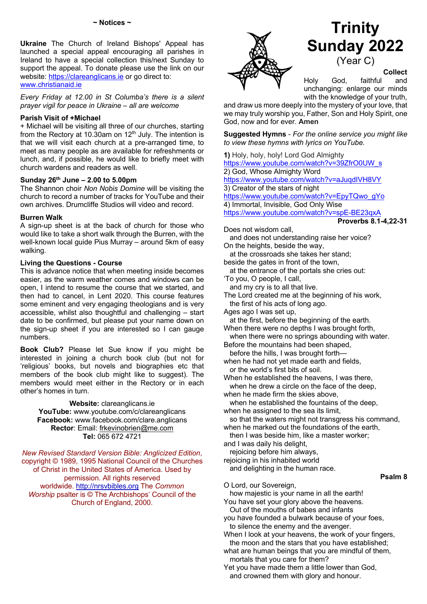**Ukraine** The Church of Ireland Bishops' Appeal has launched a special appeal encouraging all parishes in Ireland to have a special collection this/next Sunday to support the appeal. To donate please use the link on our website: https://clareanglicans.ie or go direct to: www.christianaid.ie

*Every Friday at 12.00 in St Columba's there is a silent prayer vigil for peace in Ukraine – all are welcome*

# **Parish Visit of +Michael**

+ Michael will be visiting all three of our churches, starting from the Rectory at 10.30am on 12<sup>th</sup> July. The intention is that we will visit each church at a pre-arranged time, to meet as many people as are available for refreshments or lunch, and, if possible, he would like to briefly meet with church wardens and readers as well.

# **Sunday 26th June – 2.00 to 5.00pm**

The Shannon choir *Non Nobis Domine* will be visiting the church to record a number of tracks for YouTube and their own archives. Drumcliffe Studios will video and record.

# **Burren Walk**

A sign-up sheet is at the back of church for those who would like to take a short walk through the Burren, with the well-known local guide Pius Murray – around 5km of easy walking.

# **Living the Questions - Course**

This is advance notice that when meeting inside becomes easier, as the warm weather comes and windows can be open, I intend to resume the course that we started, and then had to cancel, in Lent 2020. This course features some eminent and very engaging theologians and is very accessible, whilst also thoughtful and challenging – start date to be confirmed, but please put your name down on the sign-up sheet if you are interested so I can gauge numbers.

**Book Club?** Please let Sue know if you might be interested in joining a church book club (but not for 'religious' books, but novels and biographies etc that members of the book club might like to suggest). The members would meet either in the Rectory or in each other's homes in turn.

**Website:** clareanglicans.ie **YouTube:** www.youtube.com/c/clareanglicans **Facebook:** www.facebook.com/clare.anglicans **Rector**: Email: frkevinobrien@me.com **Tel:** 065 672 4721

*New Revised Standard Version Bible: Anglicized Edition*, copyright © 1989, 1995 National Council of the Churches of Christ in the United States of America. Used by permission. All rights reserved worldwide. http://nrsvbibles.org The *Common Worship* psalter is © The Archbishops' Council of the Church of England, 2000.



# **Trinity Sunday 2022**

(Year C)

**Collect**

Holy God, faithful and unchanging: enlarge our minds with the knowledge of your truth,

and draw us more deeply into the mystery of your love, that we may truly worship you, Father, Son and Holy Spirit, one God, now and for ever. **Amen**

**Suggested Hymns** - *For the online service you might like to view these hymns with lyrics on YouTube.*

**1)** Holy, holy, holy! Lord God Almighty https://www.youtube.com/watch?v=39ZfrO0UW\_s 2) God, Whose Almighty Word https://www.youtube.com/watch?v=aJuqdIVH8VY 3) Creator of the stars of night https://www.youtube.com/watch?v=EpyTQwo\_gYo 4) Immortal, Invisible, God Only Wise https://www.youtube.com/watch?v=spE-BE23qxA **Proverbs 8.1-4,22-31**

Does not wisdom call,

 and does not understanding raise her voice? On the heights, beside the way,

 at the crossroads she takes her stand; beside the gates in front of the town,

 at the entrance of the portals she cries out: 'To you, O people, I call,

and my cry is to all that live.

The Lord created me at the beginning of his work, the first of his acts of long ago.

Ages ago I was set up,

 at the first, before the beginning of the earth. When there were no depths I was brought forth,

 when there were no springs abounding with water. Before the mountains had been shaped,

before the hills, I was brought forth-

when he had not yet made earth and fields, or the world's first bits of soil.

When he established the heavens, I was there, when he drew a circle on the face of the deep,

- when he made firm the skies above,
- when he established the fountains of the deep, when he assigned to the sea its limit.

so that the waters might not transgress his command,

when he marked out the foundations of the earth, then I was beside him, like a master worker;

and I was daily his delight, rejoicing before him always,

rejoicing in his inhabited world

and delighting in the human race.

**Psalm 8**

O Lord, our Sovereign,

 how majestic is your name in all the earth! You have set your glory above the heavens.

 Out of the mouths of babes and infants you have founded a bulwark because of your foes,

to silence the enemy and the avenger.

When I look at your heavens, the work of your fingers, the moon and the stars that you have established;

what are human beings that you are mindful of them, mortals that you care for them?

Yet you have made them a little lower than God, and crowned them with glory and honour.